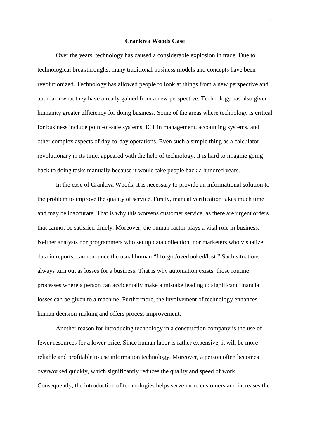## **Crankiva Woods Case**

Over the years, technology has caused a considerable explosion in trade. Due to technological breakthroughs, many traditional business models and concepts have been revolutionized. Technology has allowed people to look at things from a new perspective and approach what they have already gained from a new perspective. Technology has also given humanity greater efficiency for doing business. Some of the areas where technology is critical for business include point-of-sale systems, ICT in management, accounting systems, and other complex aspects of day-to-day operations. Even such a simple thing as a calculator, revolutionary in its time, appeared with the help of technology. It is hard to imagine going back to doing tasks manually because it would take people back a hundred years.

In the case of Crankiva Woods, it is necessary to provide an informational solution to the problem to improve the quality of service. Firstly, manual verification takes much time and may be inaccurate. That is why this worsens customer service, as there are urgent orders that cannot be satisfied timely. Moreover, the human factor plays a vital role in business. Neither analysts nor programmers who set up data collection, nor marketers who visualize data in reports, can renounce the usual human "I forgot/overlooked/lost." Such situations always turn out as losses for a business. That is why automation exists: those routine processes where a person can accidentally make a mistake leading to significant financial losses can be given to a machine. Furthermore, the involvement of technology enhances human decision-making and offers process improvement.

Another reason for introducing technology in a construction company is the use of fewer resources for a lower price. Since human labor is rather expensive, it will be more reliable and profitable to use information technology. Moreover, a person often becomes overworked quickly, which significantly reduces the quality and speed of work. Consequently, the introduction of technologies helps serve more customers and increases the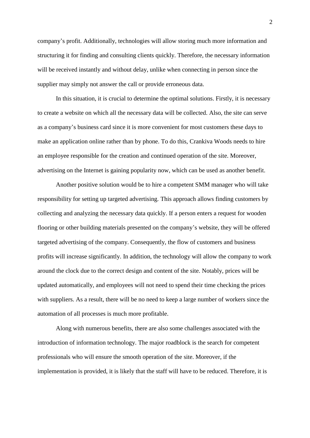company's profit. Additionally, technologies will allow storing much more information and structuring it for finding and consulting clients quickly. Therefore, the necessary information will be received instantly and without delay, unlike when connecting in person since the supplier may simply not answer the call or provide erroneous data.

In this situation, it is crucial to determine the optimal solutions. Firstly, it is necessary to create a website on which all the necessary data will be collected. Also, the site can serve as a company's business card since it is more convenient for most customers these days to make an application online rather than by phone. To do this, Crankiva Woods needs to hire an employee responsible for the creation and continued operation of the site. Moreover, advertising on the Internet is gaining popularity now, which can be used as another benefit.

Another positive solution would be to hire a competent SMM manager who will take responsibility for setting up targeted advertising. This approach allows finding customers by collecting and analyzing the necessary data quickly. If a person enters a request for wooden flooring or other building materials presented on the company's website, they will be offered targeted advertising of the company. Consequently, the flow of customers and business profits will increase significantly. In addition, the technology will allow the company to work around the clock due to the correct design and content of the site. Notably, prices will be updated automatically, and employees will not need to spend their time checking the prices with suppliers. As a result, there will be no need to keep a large number of workers since the automation of all processes is much more profitable.

Along with numerous benefits, there are also some challenges associated with the introduction of information technology. The major roadblock is the search for competent professionals who will ensure the smooth operation of the site. Moreover, if the implementation is provided, it is likely that the staff will have to be reduced. Therefore, it is